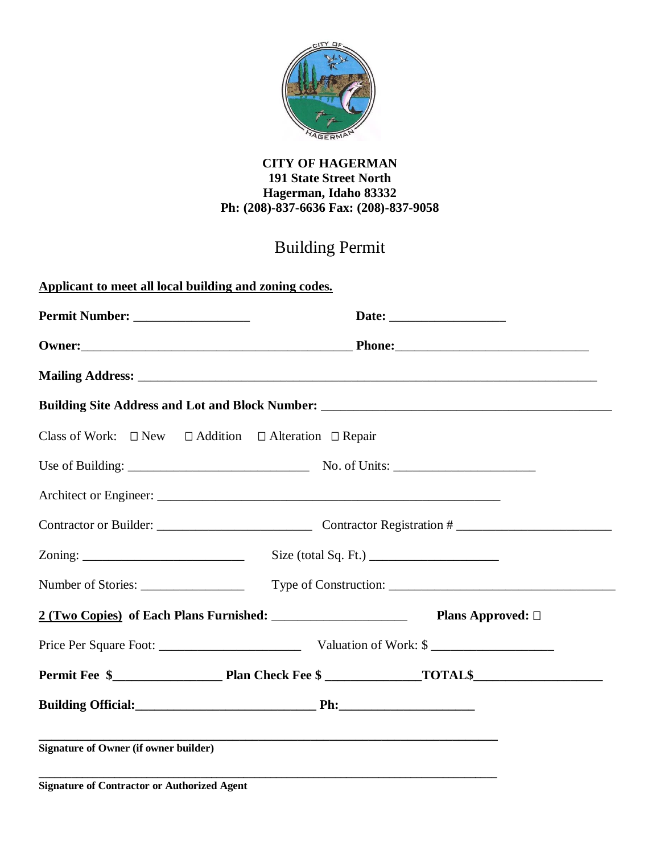

## **CITY OF HAGERMAN 191 State Street North Hagerman, Idaho 83332 Ph: (208)-837-6636 Fax: (208)-837-9058**

## Building Permit

| Building Site Address and Lot and Block Number: _________________________________                                                                                                                                                                                                                  |                                                                                                                  |
|----------------------------------------------------------------------------------------------------------------------------------------------------------------------------------------------------------------------------------------------------------------------------------------------------|------------------------------------------------------------------------------------------------------------------|
| Class of Work: $\Box$ New $\Box$ Addition $\Box$ Alteration $\Box$ Repair                                                                                                                                                                                                                          |                                                                                                                  |
|                                                                                                                                                                                                                                                                                                    |                                                                                                                  |
|                                                                                                                                                                                                                                                                                                    |                                                                                                                  |
|                                                                                                                                                                                                                                                                                                    |                                                                                                                  |
| $\sum_{n=1}^{\infty}$                                                                                                                                                                                                                                                                              | Size (total Sq. Ft.) $\frac{1}{2}$                                                                               |
|                                                                                                                                                                                                                                                                                                    |                                                                                                                  |
|                                                                                                                                                                                                                                                                                                    | 2 (Two Copies) of Each Plans Furnished: Plans Approved: 0                                                        |
|                                                                                                                                                                                                                                                                                                    |                                                                                                                  |
|                                                                                                                                                                                                                                                                                                    |                                                                                                                  |
|                                                                                                                                                                                                                                                                                                    |                                                                                                                  |
| <b>Signature of Owner (if owner builder)</b>                                                                                                                                                                                                                                                       | and the control of the control of the control of the control of the control of the control of the control of the |
| $\mathbb{C}^*$ and the set $\mathbb{C}$ of $\mathbb{C}$ and $\mathbb{C}$ and $\mathbb{C}$ and $\mathbb{C}$ and $\mathbb{C}$ and $\mathbb{C}$ and $\mathbb{C}$ and $\mathbb{C}$ and $\mathbb{C}$ and $\mathbb{C}$ and $\mathbb{C}$ and $\mathbb{C}$ and $\mathbb{C}$ and $\mathbb{C}$ and $\mathbb$ |                                                                                                                  |

**Signature of Contractor or Authorized Agent**